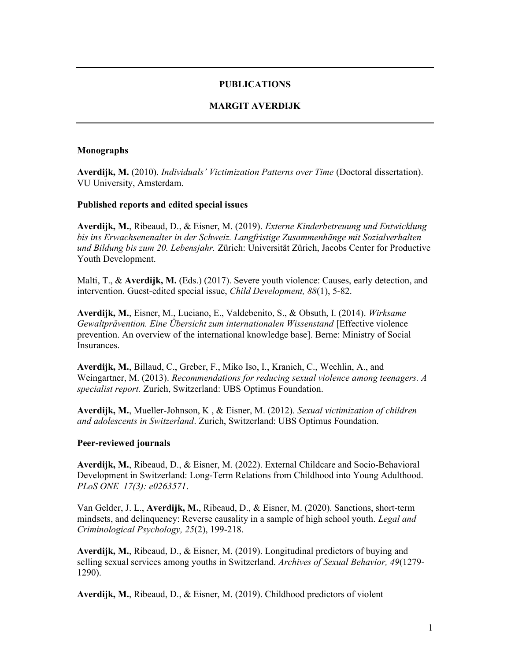# PUBLICATIONS

# MARGIT AVERDIJK

#### Monographs

Averdijk, M. (2010). Individuals' Victimization Patterns over Time (Doctoral dissertation). VU University, Amsterdam.

### Published reports and edited special issues

Averdijk, M., Ribeaud, D., & Eisner, M. (2019). Externe Kinderbetreuung und Entwicklung bis ins Erwachsenenalter in der Schweiz. Langfristige Zusammenhänge mit Sozialverhalten und Bildung bis zum 20. Lebensjahr. Zürich: Universität Zürich, Jacobs Center for Productive Youth Development.

Malti, T., & Averdijk, M. (Eds.) (2017). Severe youth violence: Causes, early detection, and intervention. Guest-edited special issue, Child Development, 88(1), 5-82.

Averdijk, M., Eisner, M., Luciano, E., Valdebenito, S., & Obsuth, I. (2014). Wirksame Gewaltprävention. Eine Übersicht zum internationalen Wissenstand [Effective violence prevention. An overview of the international knowledge base]. Berne: Ministry of Social Insurances.

Averdijk, M., Billaud, C., Greber, F., Miko Iso, I., Kranich, C., Wechlin, A., and Weingartner, M. (2013). Recommendations for reducing sexual violence among teenagers. A specialist report. Zurich, Switzerland: UBS Optimus Foundation.

Averdijk, M., Mueller-Johnson, K , & Eisner, M. (2012). Sexual victimization of children and adolescents in Switzerland. Zurich, Switzerland: UBS Optimus Foundation.

#### Peer-reviewed journals

Averdijk, M., Ribeaud, D., & Eisner, M. (2022). External Childcare and Socio-Behavioral Development in Switzerland: Long-Term Relations from Childhood into Young Adulthood. PLoS ONE 17(3): e0263571.

Van Gelder, J. L., Averdijk, M., Ribeaud, D., & Eisner, M. (2020). Sanctions, short-term mindsets, and delinquency: Reverse causality in a sample of high school youth. Legal and Criminological Psychology, 25(2), 199-218.

Averdijk, M., Ribeaud, D., & Eisner, M. (2019). Longitudinal predictors of buying and selling sexual services among youths in Switzerland. Archives of Sexual Behavior, 49(1279- 1290).

Averdijk, M., Ribeaud, D., & Eisner, M. (2019). Childhood predictors of violent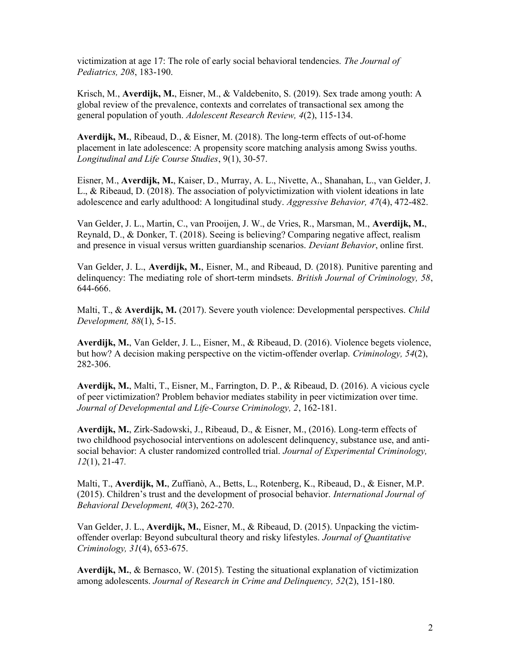victimization at age 17: The role of early social behavioral tendencies. The Journal of Pediatrics, 208, 183-190.

Krisch, M., Averdijk, M., Eisner, M., & Valdebenito, S. (2019). Sex trade among youth: A global review of the prevalence, contexts and correlates of transactional sex among the general population of youth. Adolescent Research Review, 4(2), 115-134.

Averdijk, M., Ribeaud, D., & Eisner, M. (2018). The long-term effects of out-of-home placement in late adolescence: A propensity score matching analysis among Swiss youths. Longitudinal and Life Course Studies, 9(1), 30-57.

Eisner, M., Averdijk, M., Kaiser, D., Murray, A. L., Nivette, A., Shanahan, L., van Gelder, J. L., & Ribeaud, D. (2018). The association of polyvictimization with violent ideations in late adolescence and early adulthood: A longitudinal study. Aggressive Behavior, 47(4), 472-482.

Van Gelder, J. L., Martin, C., van Prooijen, J. W., de Vries, R., Marsman, M., Averdijk, M., Reynald, D., & Donker, T. (2018). Seeing is believing? Comparing negative affect, realism and presence in visual versus written guardianship scenarios. Deviant Behavior, online first.

Van Gelder, J. L., Averdijk, M., Eisner, M., and Ribeaud, D. (2018). Punitive parenting and delinquency: The mediating role of short-term mindsets. *British Journal of Criminology*, 58, 644-666.

Malti, T., & Averdijk, M. (2017). Severe youth violence: Developmental perspectives. Child Development, 88(1), 5-15.

Averdijk, M., Van Gelder, J. L., Eisner, M., & Ribeaud, D. (2016). Violence begets violence, but how? A decision making perspective on the victim-offender overlap. Criminology, 54(2), 282-306.

Averdijk, M., Malti, T., Eisner, M., Farrington, D. P., & Ribeaud, D. (2016). A vicious cycle of peer victimization? Problem behavior mediates stability in peer victimization over time. Journal of Developmental and Life-Course Criminology, 2, 162-181.

Averdijk, M., Zirk-Sadowski, J., Ribeaud, D., & Eisner, M., (2016). Long-term effects of two childhood psychosocial interventions on adolescent delinquency, substance use, and antisocial behavior: A cluster randomized controlled trial. Journal of Experimental Criminology, 12(1), 21-47.

Malti, T., Averdijk, M., Zuffianò, A., Betts, L., Rotenberg, K., Ribeaud, D., & Eisner, M.P. (2015). Children's trust and the development of prosocial behavior. International Journal of Behavioral Development, 40(3), 262-270.

Van Gelder, J. L., Averdijk, M., Eisner, M., & Ribeaud, D. (2015). Unpacking the victimoffender overlap: Beyond subcultural theory and risky lifestyles. Journal of Quantitative Criminology, 31(4), 653-675.

Averdijk, M., & Bernasco, W. (2015). Testing the situational explanation of victimization among adolescents. Journal of Research in Crime and Delinquency, 52(2), 151-180.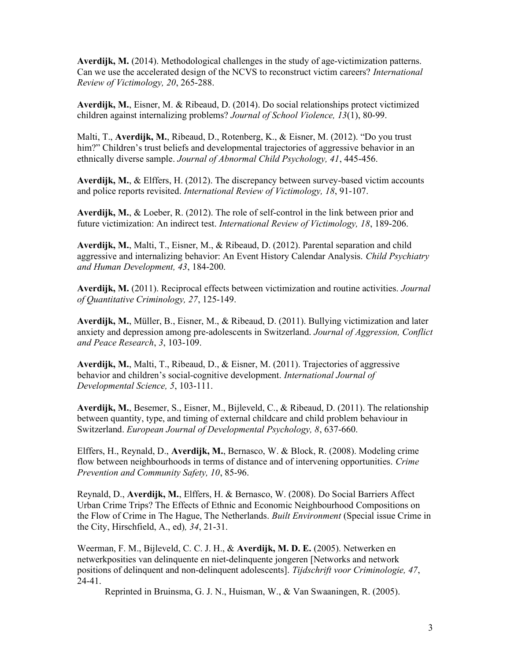Averdijk, M. (2014). Methodological challenges in the study of age-victimization patterns. Can we use the accelerated design of the NCVS to reconstruct victim careers? International Review of Victimology, 20, 265-288.

Averdijk, M., Eisner, M. & Ribeaud, D. (2014). Do social relationships protect victimized children against internalizing problems? Journal of School Violence, 13(1), 80-99.

Malti, T., Averdijk, M., Ribeaud, D., Rotenberg, K., & Eisner, M. (2012). "Do you trust him?" Children's trust beliefs and developmental trajectories of aggressive behavior in an ethnically diverse sample. Journal of Abnormal Child Psychology, 41, 445-456.

Averdijk, M.,  $\&$  Elffers, H. (2012). The discrepancy between survey-based victim accounts and police reports revisited. International Review of Victimology, 18, 91-107.

Averdijk, M., & Loeber, R. (2012). The role of self-control in the link between prior and future victimization: An indirect test. International Review of Victimology, 18, 189-206.

Averdijk, M., Malti, T., Eisner, M., & Ribeaud, D. (2012). Parental separation and child aggressive and internalizing behavior: An Event History Calendar Analysis. Child Psychiatry and Human Development, 43, 184-200.

Averdijk, M. (2011). Reciprocal effects between victimization and routine activities. Journal of Quantitative Criminology, 27, 125-149.

Averdijk, M., Müller, B., Eisner, M., & Ribeaud, D. (2011). Bullying victimization and later anxiety and depression among pre-adolescents in Switzerland. Journal of Aggression, Conflict and Peace Research, 3, 103-109.

Averdijk, M., Malti, T., Ribeaud, D., & Eisner, M. (2011). Trajectories of aggressive behavior and children's social-cognitive development. International Journal of Developmental Science, 5, 103-111.

Averdijk, M., Besemer, S., Eisner, M., Bijleveld, C., & Ribeaud, D. (2011). The relationship between quantity, type, and timing of external childcare and child problem behaviour in Switzerland. European Journal of Developmental Psychology, 8, 637-660.

Elffers, H., Reynald, D., Averdijk, M., Bernasco, W. & Block, R. (2008). Modeling crime flow between neighbourhoods in terms of distance and of intervening opportunities. Crime Prevention and Community Safety, 10, 85-96.

Reynald, D., Averdijk, M., Elffers, H. & Bernasco, W. (2008). Do Social Barriers Affect Urban Crime Trips? The Effects of Ethnic and Economic Neighbourhood Compositions on the Flow of Crime in The Hague, The Netherlands. Built Environment (Special issue Crime in the City, Hirschfield, A., ed), 34, 21-31.

Weerman, F. M., Bijleveld, C. C. J. H., & Averdijk, M. D. E. (2005). Netwerken en netwerkposities van delinquente en niet-delinquente jongeren [Networks and network positions of delinquent and non-delinquent adolescents]. Tijdschrift voor Criminologie, 47, 24-41.

Reprinted in Bruinsma, G. J. N., Huisman, W., & Van Swaaningen, R. (2005).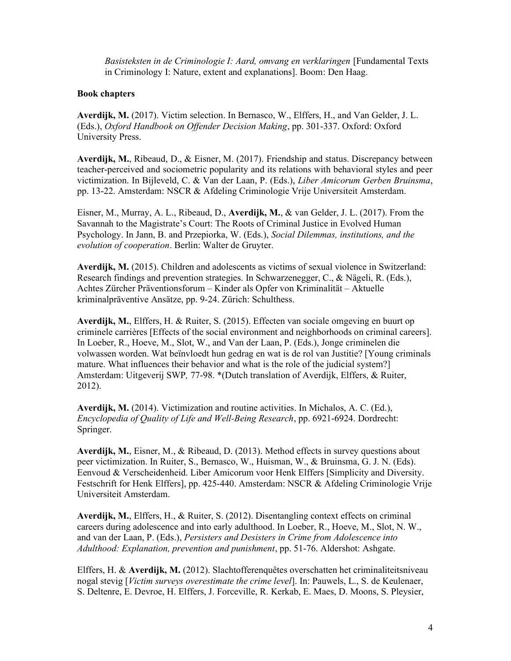Basisteksten in de Criminologie I: Aard, omvang en verklaringen [Fundamental Texts in Criminology I: Nature, extent and explanations]. Boom: Den Haag.

# Book chapters

Averdijk, M. (2017). Victim selection. In Bernasco, W., Elffers, H., and Van Gelder, J. L. (Eds.), Oxford Handbook on Offender Decision Making, pp. 301-337. Oxford: Oxford University Press.

Averdijk, M., Ribeaud, D., & Eisner, M. (2017). Friendship and status. Discrepancy between teacher-perceived and sociometric popularity and its relations with behavioral styles and peer victimization. In Bijleveld, C. & Van der Laan, P. (Eds.), Liber Amicorum Gerben Bruinsma, pp. 13-22. Amsterdam: NSCR & Afdeling Criminologie Vrije Universiteit Amsterdam.

Eisner, M., Murray, A. L., Ribeaud, D., Averdijk, M., & van Gelder, J. L. (2017). From the Savannah to the Magistrate's Court: The Roots of Criminal Justice in Evolved Human Psychology. In Jann, B. and Przepiorka, W. (Eds.), Social Dilemmas, institutions, and the evolution of cooperation. Berlin: Walter de Gruyter.

Averdijk, M. (2015). Children and adolescents as victims of sexual violence in Switzerland: Research findings and prevention strategies. In Schwarzenegger, C., & Nägeli, R. (Eds.), Achtes Zürcher Präventionsforum – Kinder als Opfer von Kriminalität – Aktuelle kriminalpräventive Ansätze, pp. 9-24. Zürich: Schulthess.

Averdijk, M., Elffers, H. & Ruiter, S. (2015). Effecten van sociale omgeving en buurt op criminele carrières [Effects of the social environment and neighborhoods on criminal careers]. In Loeber, R., Hoeve, M., Slot, W., and Van der Laan, P. (Eds.), Jonge criminelen die volwassen worden. Wat beïnvloedt hun gedrag en wat is de rol van Justitie? [Young criminals mature. What influences their behavior and what is the role of the judicial system?] Amsterdam: Uitgeverij SWP, 77-98. \*(Dutch translation of Averdijk, Elffers, & Ruiter, 2012).

Averdijk, M. (2014). Victimization and routine activities. In Michalos, A. C. (Ed.), Encyclopedia of Quality of Life and Well-Being Research, pp. 6921-6924. Dordrecht: Springer.

Averdijk, M., Eisner, M., & Ribeaud, D. (2013). Method effects in survey questions about peer victimization. In Ruiter, S., Bernasco, W., Huisman, W., & Bruinsma, G. J. N. (Eds). Eenvoud & Verscheidenheid. Liber Amicorum voor Henk Elffers [Simplicity and Diversity. Festschrift for Henk Elffers], pp. 425-440. Amsterdam: NSCR & Afdeling Criminologie Vrije Universiteit Amsterdam.

Averdijk, M., Elffers, H., & Ruiter, S. (2012). Disentangling context effects on criminal careers during adolescence and into early adulthood. In Loeber, R., Hoeve, M., Slot, N. W., and van der Laan, P. (Eds.), Persisters and Desisters in Crime from Adolescence into Adulthood: Explanation, prevention and punishment, pp. 51-76. Aldershot: Ashgate.

Elffers, H. & Averdijk, M. (2012). Slachtofferenquêtes overschatten het criminaliteitsniveau nogal stevig [Victim surveys overestimate the crime level]. In: Pauwels, L., S. de Keulenaer, S. Deltenre, E. Devroe, H. Elffers, J. Forceville, R. Kerkab, E. Maes, D. Moons, S. Pleysier,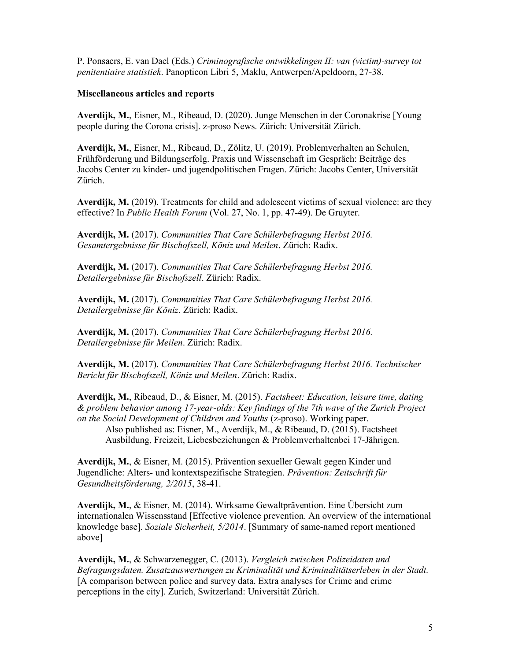P. Ponsaers, E. van Dael (Eds.) Criminografische ontwikkelingen II: van (victim)-survey tot penitentiaire statistiek. Panopticon Libri 5, Maklu, Antwerpen/Apeldoorn, 27-38.

### Miscellaneous articles and reports

Averdijk, M., Eisner, M., Ribeaud, D. (2020). Junge Menschen in der Coronakrise [Young people during the Corona crisis]. z-proso News. Zürich: Universität Zürich.

Averdijk, M., Eisner, M., Ribeaud, D., Zölitz, U. (2019). Problemverhalten an Schulen, Frühförderung und Bildungserfolg. Praxis und Wissenschaft im Gespräch: Beiträge des Jacobs Center zu kinder- und jugendpolitischen Fragen. Zürich: Jacobs Center, Universität Zürich.

Averdijk, M. (2019). Treatments for child and adolescent victims of sexual violence: are they effective? In Public Health Forum (Vol. 27, No. 1, pp. 47-49). De Gruyter.

Averdijk, M. (2017). Communities That Care Schülerbefragung Herbst 2016. Gesamtergebnisse für Bischofszell, Köniz und Meilen. Zürich: Radix.

Averdijk, M. (2017). Communities That Care Schülerbefragung Herbst 2016. Detailergebnisse für Bischofszell. Zürich: Radix.

Averdijk, M. (2017). Communities That Care Schülerbefragung Herbst 2016. Detailergebnisse für Köniz. Zürich: Radix.

Averdijk, M. (2017). Communities That Care Schülerbefragung Herbst 2016. Detailergebnisse für Meilen. Zürich: Radix.

Averdijk, M. (2017). Communities That Care Schülerbefragung Herbst 2016. Technischer Bericht für Bischofszell, Köniz und Meilen. Zürich: Radix.

Averdijk, M., Ribeaud, D., & Eisner, M. (2015). Factsheet: Education, leisure time, dating & problem behavior among 17-year-olds: Key findings of the 7th wave of the Zurich Project on the Social Development of Children and Youths (z-proso). Working paper.

Also published as: Eisner, M., Averdijk, M., & Ribeaud, D. (2015). Factsheet Ausbildung, Freizeit, Liebesbeziehungen & Problemverhaltenbei 17-Jährigen.

Averdijk, M., & Eisner, M. (2015). Prävention sexueller Gewalt gegen Kinder und Jugendliche: Alters- und kontextspezifische Strategien. Prävention: Zeitschrift für Gesundheitsförderung, 2/2015, 38-41.

Averdijk, M., & Eisner, M. (2014). Wirksame Gewaltprävention. Eine Übersicht zum internationalen Wissensstand [Effective violence prevention. An overview of the international knowledge base]. Soziale Sicherheit, 5/2014. [Summary of same-named report mentioned above]

Averdijk, M., & Schwarzenegger, C. (2013). Vergleich zwischen Polizeidaten und Befragungsdaten. Zusatzauswertungen zu Kriminalität und Kriminalitätserleben in der Stadt. [A comparison between police and survey data. Extra analyses for Crime and crime perceptions in the city]. Zurich, Switzerland: Universität Zürich.